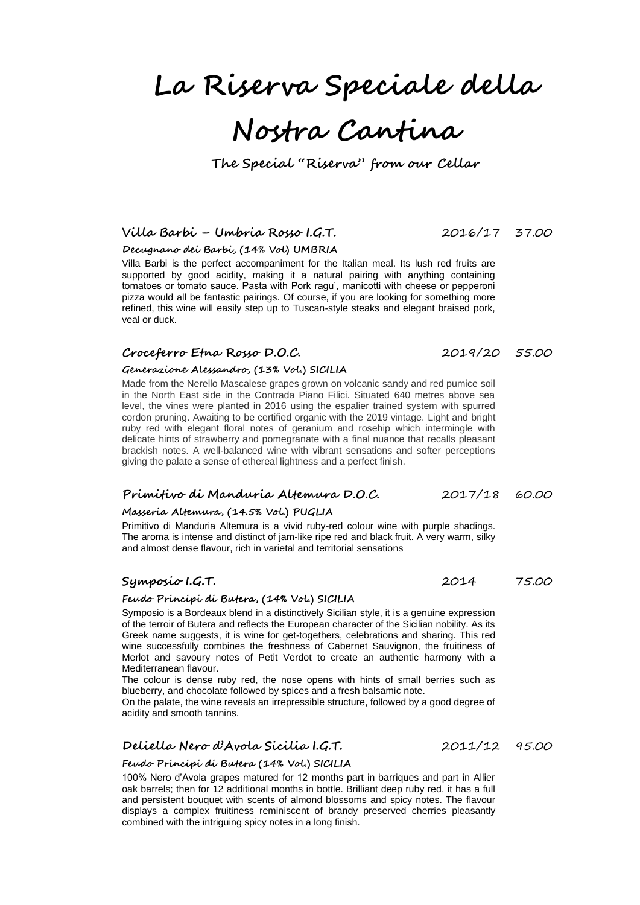# **La Riserva Speciale della**

# **Nostra Cantina**

**The Special "Riserva" from our Cellar**

# **Villa Barbi – Umbria Rosso I.G.T.** 2016/17 37.00

**Decugnano dei Barbi, (14% Vol) UMBRIA**

Villa Barbi is the perfect accompaniment for the Italian meal. Its lush red fruits are supported by good acidity, making it a natural pairing with anything containing tomatoes or tomato sauce. Pasta with Pork ragu', manicotti with cheese or pepperoni pizza would all be fantastic pairings. Of course, if you are looking for something more refined, this wine will easily step up to Tuscan-style steaks and elegant braised pork, veal or duck.

# **Croceferro Etna Rosso D.O.C.** 2019/20 55.00

#### **Generazione Alessandro, (13% Vol.) SICILIA**

Made from the Nerello Mascalese grapes grown on volcanic sandy and red pumice soil in the North East side in the Contrada Piano Filici. Situated 640 metres above sea level, the vines were planted in 2016 using the espalier trained system with spurred cordon pruning. Awaiting to be certified organic with the 2019 vintage. Light and bright ruby red with elegant floral notes of geranium and rosehip which intermingle with delicate hints of strawberry and pomegranate with a final nuance that recalls pleasant brackish notes. A well-balanced wine with vibrant sensations and softer perceptions giving the palate a sense of ethereal lightness and a perfect finish.

# **Primitivo di Manduria Altemura D.O.C.** 2017/18 60.00

# **Masseria Altemura, (14.5% Vol.) PUGLIA**

Primitivo di Manduria Altemura is a vivid ruby-red colour wine with purple shadings. The aroma is intense and distinct of jam-like ripe red and black fruit. A very warm, silky and almost dense flavour, rich in varietal and territorial sensations

# **Symposio I.G.T.** 2014 75.00

#### **Feudo Principi di Butera, (14% Vol.) SICILIA**

Symposio is a Bordeaux blend in a distinctively Sicilian style, it is a genuine expression of the terroir of Butera and reflects the European character of the Sicilian nobility. As its Greek name suggests, it is wine for get-togethers, celebrations and sharing. This red wine successfully combines the freshness of Cabernet Sauvignon, the fruitiness of Merlot and savoury notes of Petit Verdot to create an authentic harmony with a Mediterranean flavour.

The colour is dense ruby red, the nose opens with hints of small berries such as blueberry, and chocolate followed by spices and a fresh balsamic note.

On the palate, the wine reveals an irrepressible structure, followed by a good degree of acidity and smooth tannins.

# **Deliella Nero d'Avola Sicilia I.G.T.** 2011/12 95.00

#### **Feudo Principi di Butera (14% Vol.) SICILIA**

100% Nero d'Avola grapes matured for 12 months part in barriques and part in Allier oak barrels; then for 12 additional months in bottle. Brilliant deep ruby red, it has a full and persistent bouquet with scents of almond blossoms and spicy notes. The flavour displays a complex fruitiness reminiscent of brandy preserved cherries pleasantly combined with the intriguing spicy notes in a long finish.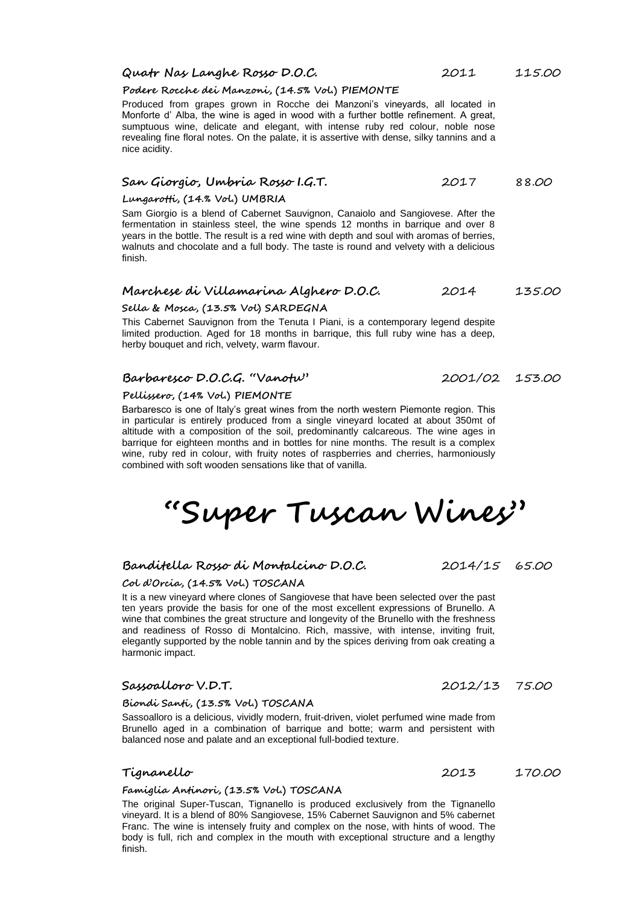# **Quatr Nas Langhe Rosso D.O.C.** 2011 115.00

#### **Podere Rocche dei Manzoni, (14.5% Vol.) PIEMONTE**

Produced from grapes grown in Rocche dei Manzoni's vineyards, all located in Monforte d' Alba, the wine is aged in wood with a further bottle refinement. A great, sumptuous wine, delicate and elegant, with intense ruby red colour, noble nose revealing fine floral notes. On the palate, it is assertive with dense, silky tannins and a nice acidity.

# **San Giorgio, Umbria Rosso I.G.T.** 2017 88.00

#### **Lungarotti, (14.% Vol.) UMBRIA**

Sam Giorgio is a blend of Cabernet Sauvignon, Canaiolo and Sangiovese. After the fermentation in stainless steel, the wine spends 12 months in barrique and over 8 years in the bottle. The result is a red wine with depth and soul with aromas of berries, walnuts and chocolate and a full body. The taste is round and velvety with a delicious finish.

# **Marchese di Villamarina Alghero D.O.C.** 2014 135.00

### **Sella & Mosca, (13.5% Vol) SARDEGNA**

This Cabernet Sauvignon from the Tenuta I Piani, is a contemporary legend despite limited production. Aged for 18 months in barrique, this full ruby wine has a deep, herby bouquet and rich, velvety, warm flavour.

# **Barbaresco D.O.C.G. "Vanotu"** 2001/02 153.00

#### **Pellissero, (14% Vol.) PIEMONTE**

Barbaresco is one of Italy's great wines from the north western Piemonte region. This in particular is entirely produced from a single vineyard located at about 350mt of altitude with a composition of the soil, predominantly calcareous. The wine ages in barrique for eighteen months and in bottles for nine months. The result is a complex wine, ruby red in colour, with fruity notes of raspberries and cherries, harmoniously combined with soft wooden sensations like that of vanilla.

**"Super Tuscan Wines"**

# **Banditella Rosso di Montalcino D.O.C.** 2014/15 65.00

#### **Col d'Orcia, (14.5% Vol.) TOSCANA**

It is a new vineyard where clones of Sangiovese that have been selected over the past ten years provide the basis for one of the most excellent expressions of Brunello. A wine that combines the great structure and longevity of the Brunello with the freshness and readiness of Rosso di Montalcino. Rich, massive, with intense, inviting fruit, elegantly supported by the noble tannin and by the spices deriving from oak creating a harmonic impact.

# **Sassoalloro V.D.T.** 2012/13 75.00

#### **Biondi Santi, (13.5% Vol.) TOSCANA**

Sassoalloro is a delicious, vividly modern, fruit-driven, violet perfumed wine made from Brunello aged in a combination of barrique and botte; warm and persistent with balanced nose and palate and an exceptional full-bodied texture.

# **Tignanello** 2013 170.00

### **Famiglia Antinori, (13.5% Vol.) TOSCANA**

The original Super-Tuscan, Tignanello is produced exclusively from the Tignanello vineyard. It is a blend of 80% Sangiovese, 15% Cabernet Sauvignon and 5% cabernet Franc. The wine is intensely fruity and complex on the nose, with hints of wood. The body is full, rich and complex in the mouth with exceptional structure and a lengthy finish.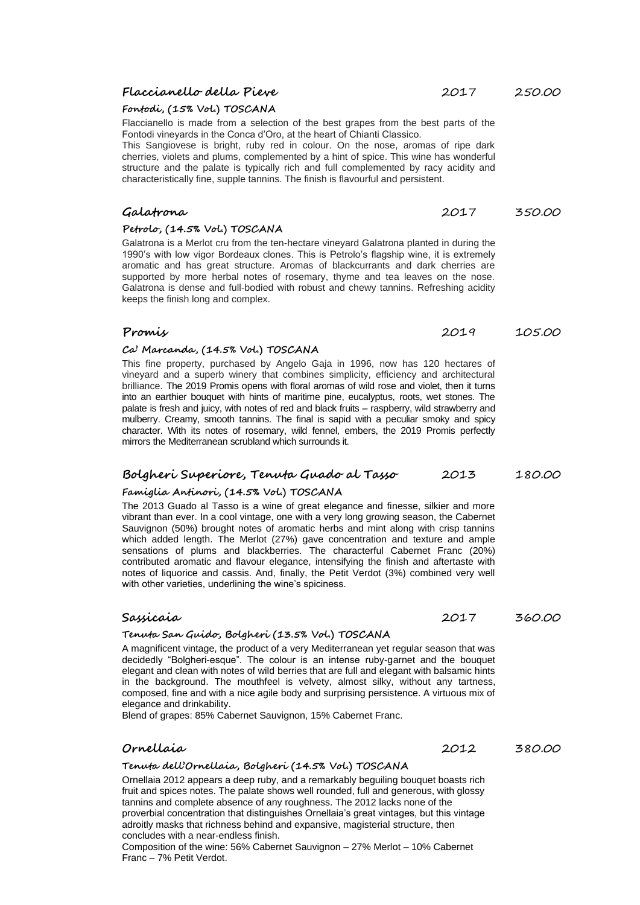Composition of the wine: 56% Cabernet Sauvignon – 27% Merlot – 10% Cabernet Franc – 7% Petit Verdot.

# **Flaccianello della Pieve** 2017 250.00

# **Fontodi, (15% Vol.) TOSCANA**

Flaccianello is made from a selection of the best grapes from the best parts of the Fontodi vineyards in the Conca d'Oro, at the heart of Chianti Classico.

This Sangiovese is bright, ruby red in colour. On the nose, aromas of ripe dark cherries, violets and plums, complemented by a hint of spice. This wine has wonderful structure and the palate is typically rich and full complemented by racy acidity and characteristically fine, supple tannins. The finish is flavourful and persistent.

# **Galatrona** 2017 350.00

### **Petrolo, (14.5% Vol.) TOSCANA**

Galatrona is a Merlot cru from the ten-hectare vineyard Galatrona planted in during the 1990's with low vigor Bordeaux clones. This is Petrolo's flagship wine, it is extremely aromatic and has great structure. Aromas of blackcurrants and dark cherries are supported by more herbal notes of rosemary, thyme and tea leaves on the nose. Galatrona is dense and full-bodied with robust and chewy tannins. Refreshing acidity keeps the finish long and complex.

# **Promis** 2019 105.00

### **Ca' Marcanda, (14.5% Vol.) TOSCANA**

This fine property, purchased by Angelo Gaja in 1996, now has 120 hectares of vineyard and a superb winery that combines simplicity, efficiency and architectural brilliance. The 2019 Promis opens with floral aromas of wild rose and violet, then it turns into an earthier bouquet with hints of maritime pine, eucalyptus, roots, wet stones. The palate is fresh and juicy, with notes of red and black fruits – raspberry, wild strawberry and mulberry. Creamy, smooth tannins. The final is sapid with a peculiar smoky and spicy character. With its notes of rosemary, wild fennel, embers, the 2019 Promis perfectly mirrors the Mediterranean scrubland which surrounds it.

### **Bolgheri Superiore, Tenuta Guado al Tasso** 2013 180.00

# **Famiglia Antinori, (14.5% Vol.) TOSCANA**

The 2013 Guado al Tasso is a wine of great elegance and finesse, silkier and more vibrant than ever. In a cool vintage, one with a very long growing season, the Cabernet Sauvignon (50%) brought notes of aromatic herbs and mint along with crisp tannins which added length. The Merlot (27%) gave concentration and texture and ample sensations of plums and blackberries. The characterful Cabernet Franc (20%) contributed aromatic and flavour elegance, intensifying the finish and aftertaste with notes of liquorice and cassis. And, finally, the Petit Verdot (3%) combined very well with other varieties, underlining the wine's spiciness.

### **Sassicaia** 2017 360.00

### **Tenuta San Guido, Bolgheri (13.5% Vol.) TOSCANA**

A magnificent vintage, the product of a very Mediterranean yet regular season that was decidedly "Bolgheri-esque". The colour is an intense ruby-garnet and the bouquet elegant and clean with notes of wild berries that are full and elegant with balsamic hints in the background. The mouthfeel is velvety, almost silky, without any tartness, composed, fine and with a nice agile body and surprising persistence. A virtuous mix of elegance and drinkability.

Blend of grapes: 85% Cabernet Sauvignon, 15% Cabernet Franc.

# **Tenuta dell'Ornellaia, Bolgheri (14.5% Vol.) TOSCANA**

Ornellaia 2012 appears a deep ruby, and a remarkably beguiling bouquet boasts rich fruit and spices notes. The palate shows well rounded, full and generous, with glossy tannins and complete absence of any roughness. The 2012 lacks none of the proverbial concentration that distinguishes Ornellaia's great vintages, but this vintage adroitly masks that richness behind and expansive, magisterial structure, then concludes with a near-endless finish.

**Ornellaia** 2012 380.00